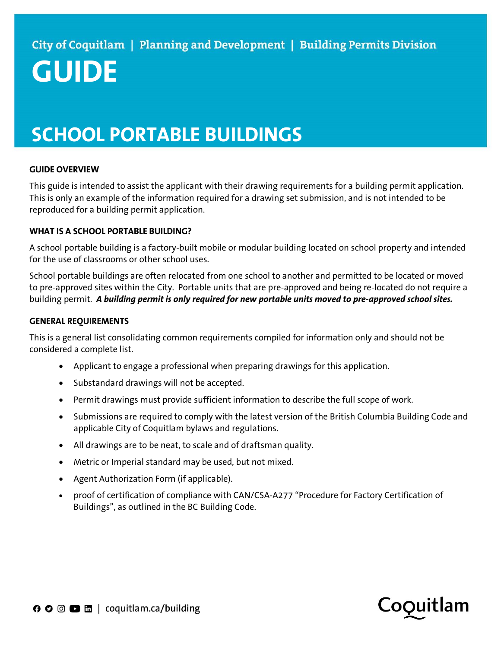# **GUIDE**

# SCHOOL PORTABLE BUILDINGS

## GUIDE OVERVIEW

This guide is intended to assist the applicant with their drawing requirements for a building permit application. This is only an example of the information required for a drawing set submission, and is not intended to be reproduced for a building permit application.

### WHAT IS A SCHOOL PORTABLE BUILDING?

A school portable building is a factory-built mobile or modular building located on school property and intended for the use of classrooms or other school uses.

School portable buildings are often relocated from one school to another and permitted to be located or moved to pre-approved sites within the City. Portable units that are pre-approved and being re-located do not require a building permit. A building permit is only required for new portable units moved to pre-approved school sites.

#### GENERAL REQUIREMENTS

This is a general list consolidating common requirements compiled for information only and should not be considered a complete list.

- Applicant to engage a professional when preparing drawings for this application.
- Substandard drawings will not be accepted.
- Permit drawings must provide sufficient information to describe the full scope of work.
- Submissions are required to comply with the latest version of the British Columbia Building Code and applicable City of Coquitlam bylaws and regulations.
- All drawings are to be neat, to scale and of draftsman quality.
- Metric or Imperial standard may be used, but not mixed.
- Agent Authorization Form (if applicable).
- proof of certification of compliance with CAN/CSA-A277 "Procedure for Factory Certification of Buildings", as outlined in the BC Building Code.